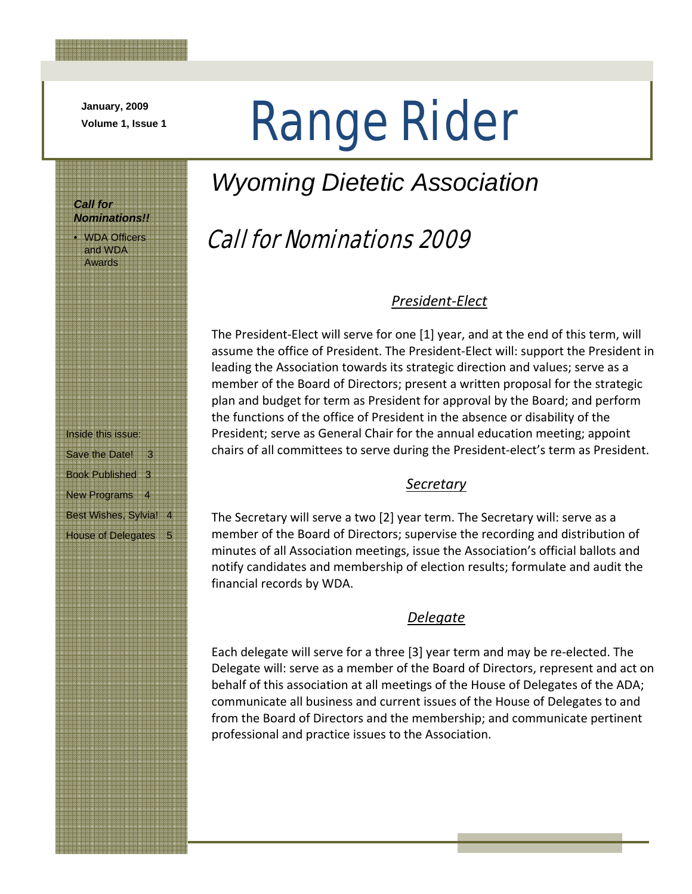**January, 2009** 

*Call for* 

*Nominations!!*  • WDA Officers and WDA Awards

# Volume 1, Issue 1 **Range Rider**

### *Wyoming Dietetic Association*

### Call for Nominations 2009

### *President‐Elect*

The President‐Elect will serve for one [1] year, and at the end of this term, will assume the office of President. The President‐Elect will: support the President in leading the Association towards its strategic direction and values; serve as a member of the Board of Directors; present a written proposal for the strategic plan and budget for term as President for approval by the Board; and perform the functions of the office of President in the absence or disability of the President; serve as General Chair for the annual education meeting; appoint chairs of all committees to serve during the President‐elect's term as President.

#### *Secretary*

The Secretary will serve a two [2] year term. The Secretary will: serve as a member of the Board of Directors; supervise the recording and distribution of minutes of all Association meetings, issue the Association's official ballots and notify candidates and membership of election results; formulate and audit the financial records by WDA.

### *Delegate*

Each delegate will serve for a three [3] year term and may be re‐elected. The Delegate will: serve as a member of the Board of Directors, represent and act on behalf of this association at all meetings of the House of Delegates of the ADA; communicate all business and current issues of the House of Delegates to and from the Board of Directors and the membership; and communicate pertinent professional and practice issues to the Association.

Inside this issue: Save the Date! 3 Book Published 3 New Programs 4 Best Wishes, Sylvia! 4 House of Delegates 5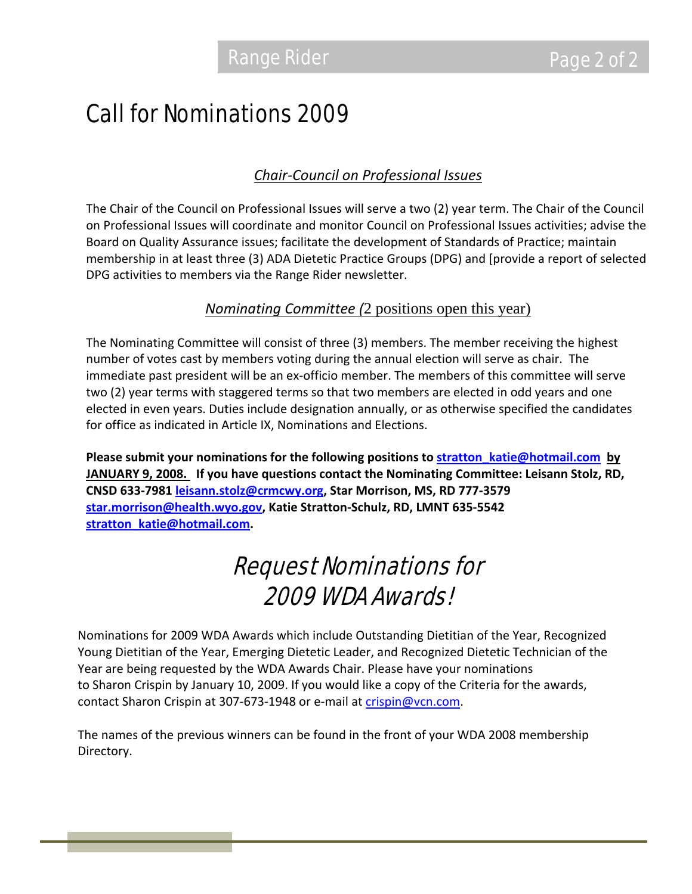### Call for Nominations 2009

### *Chair‐Council on Professional Issues*

The Chair of the Council on Professional Issues will serve a two (2) year term. The Chair of the Council on Professional Issues will coordinate and monitor Council on Professional Issues activities; advise the Board on Quality Assurance issues; facilitate the development of Standards of Practice; maintain membership in at least three (3) ADA Dietetic Practice Groups (DPG) and [provide a report of selected DPG activities to members via the Range Rider newsletter.

### *Nominating Committee (*2 positions open this year)

The Nominating Committee will consist of three (3) members. The member receiving the highest number of votes cast by members voting during the annual election will serve as chair. The immediate past president will be an ex‐officio member. The members of this committee will serve two (2) year terms with staggered terms so that two members are elected in odd years and one elected in even years. Duties include designation annually, or as otherwise specified the candidates for office as indicated in Article IX, Nominations and Elections.

**Please submit your nominations for the following positions to stratton\_katie@hotmail.com by JANUARY 9, 2008. If you have questions contact the Nominating Committee: Leisann Stolz, RD, CNSD 633‐7981 leisann.stolz@crmcwy.org, Star Morrison, MS, RD 777‐3579 star.morrison@health.wyo.gov, Katie Stratton‐Schulz, RD, LMNT 635‐5542 stratton\_katie@hotmail.com.** 

## Request Nominations for 2009 WDA Awards!

Nominations for 2009 WDA Awards which include Outstanding Dietitian of the Year, Recognized Young Dietitian of the Year, Emerging Dietetic Leader, and Recognized Dietetic Technician of the Year are being requested by the WDA Awards Chair. Please have your nominations to Sharon Crispin by January 10, 2009. If you would like a copy of the Criteria for the awards, contact Sharon Crispin at 307-673-1948 or e-mail at crispin@vcn.com.

The names of the previous winners can be found in the front of your WDA 2008 membership Directory.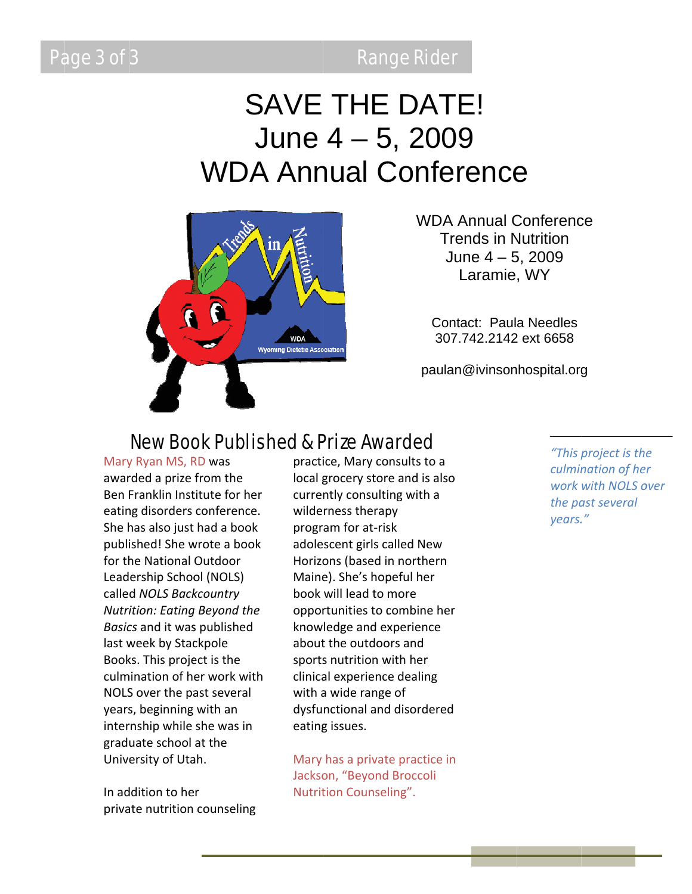**Range Rider** 

# **SAVE THE DATE!** June  $4 - 5$ , 2009 **WDA Annual Conference**



**WDA Annual Conference Trends in Nutrition** June  $4 - 5$ , 2009 Laramie, WY

Contact: Paula Needles 307, 742, 2142 ext 6658

paulan@ivinsonhospital.org

### **New Book Published & Prize Awarded**

Mary Ryan MS, RD was awarded a prize from the Ben Franklin Institute for her eating disorders conference. She has also just had a book published! She wrote a book for the National Outdoor Leadership School (NOLS) called NOLS Backcountry Nutrition: Eating Beyond the Basics and it was published last week by Stackpole Books. This project is the culmination of her work with NOLS over the past several years, beginning with an internship while she was in graduate school at the University of Utah.

In addition to her private nutrition counseling practice. Mary consults to a local grocery store and is also currently consulting with a wilderness therapy program for at-risk adolescent girls called New Horizons (based in northern Maine). She's hopeful her book will lead to more opportunities to combine her knowledge and experience about the outdoors and sports nutrition with her clinical experience dealing with a wide range of dysfunctional and disordered eating issues.

Mary has a private practice in Jackson, "Beyond Broccoli Nutrition Counseling".

"This project is the culmination of her work with NOLS over the past several years."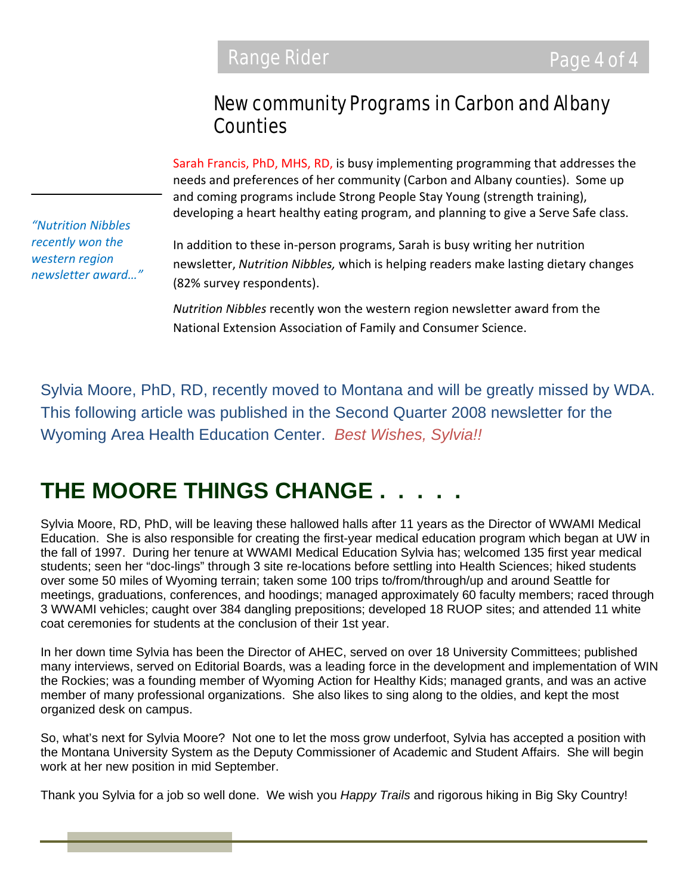### New community Programs in Carbon and Albany **Counties**

Sarah Francis, PhD, MHS, RD, is busy implementing programming that addresses the needs and preferences of her community (Carbon and Albany counties). Some up and coming programs include Strong People Stay Young (strength training), developing a heart healthy eating program, and planning to give a Serve Safe class.

*"Nutrition Nibbles recently won the western region newsletter award…"*

In addition to these in‐person programs, Sarah is busy writing her nutrition newsletter, *Nutrition Nibbles,* which is helping readers make lasting dietary changes (82% survey respondents).

*Nutrition Nibbles* recently won the western region newsletter award from the National Extension Association of Family and Consumer Science.

Sylvia Moore, PhD, RD, recently moved to Montana and will be greatly missed by WDA. This following article was published in the Second Quarter 2008 newsletter for the Wyoming Area Health Education Center. *Best Wishes, Sylvia!!*

### **THE MOORE THINGS CHANGE . . . . .**

Sylvia Moore, RD, PhD, will be leaving these hallowed halls after 11 years as the Director of WWAMI Medical Education. She is also responsible for creating the first-year medical education program which began at UW in the fall of 1997. During her tenure at WWAMI Medical Education Sylvia has; welcomed 135 first year medical students; seen her "doc-lings" through 3 site re-locations before settling into Health Sciences; hiked students over some 50 miles of Wyoming terrain; taken some 100 trips to/from/through/up and around Seattle for meetings, graduations, conferences, and hoodings; managed approximately 60 faculty members; raced through 3 WWAMI vehicles; caught over 384 dangling prepositions; developed 18 RUOP sites; and attended 11 white coat ceremonies for students at the conclusion of their 1st year.

In her down time Sylvia has been the Director of AHEC, served on over 18 University Committees; published many interviews, served on Editorial Boards, was a leading force in the development and implementation of WIN the Rockies; was a founding member of Wyoming Action for Healthy Kids; managed grants, and was an active member of many professional organizations. She also likes to sing along to the oldies, and kept the most organized desk on campus.

So, what's next for Sylvia Moore? Not one to let the moss grow underfoot, Sylvia has accepted a position with the Montana University System as the Deputy Commissioner of Academic and Student Affairs. She will begin work at her new position in mid September.

Thank you Sylvia for a job so well done. We wish you *Happy Trails* and rigorous hiking in Big Sky Country!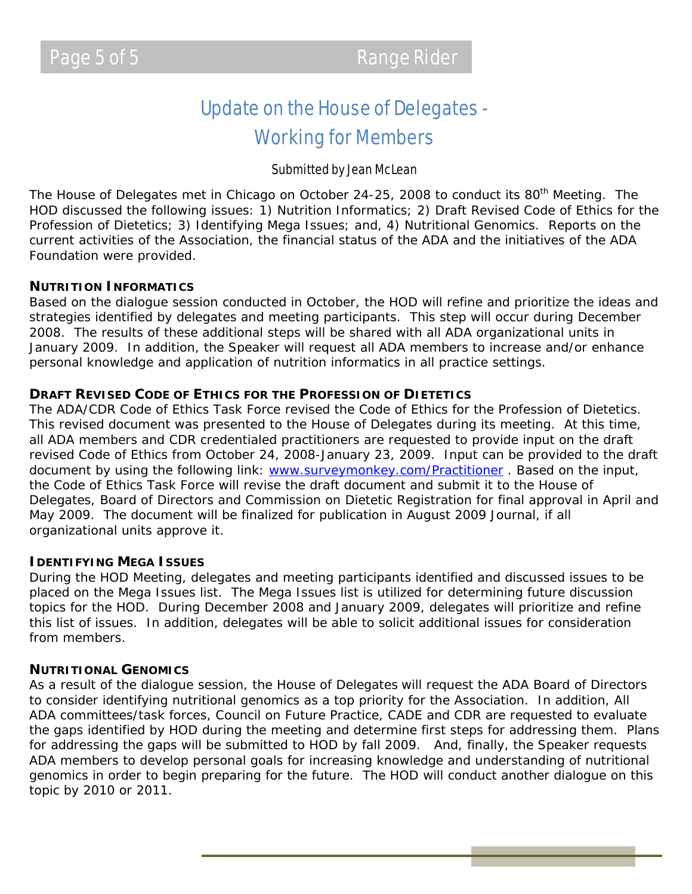### Update on the House of Delegates - Working for Members

#### Submitted by Jean McLean

The House of Delegates met in Chicago on October 24-25, 2008 to conduct its 80<sup>th</sup> Meeting. The HOD discussed the following issues: 1) Nutrition Informatics; 2) Draft Revised Code of Ethics for the Profession of Dietetics; 3) Identifying Mega Issues; and, 4) Nutritional Genomics. Reports on the current activities of the Association, the financial status of the ADA and the initiatives of the ADA Foundation were provided.

#### **NUTRITION INFORMATICS**

Based on the dialogue session conducted in October, the HOD will refine and prioritize the ideas and strategies identified by delegates and meeting participants. This step will occur during December 2008. The results of these additional steps will be shared with all ADA organizational units in January 2009. In addition, the Speaker will request all ADA members to increase and/or enhance personal knowledge and application of nutrition informatics in all practice settings.

#### **DRAFT REVISED CODE OF ETHICS FOR THE PROFESSION OF DIETETICS**

The ADA/CDR Code of Ethics Task Force revised the Code of Ethics for the Profession of Dietetics. This revised document was presented to the House of Delegates during its meeting. At this time, all ADA members and CDR credentialed practitioners are requested to provide input on the draft revised Code of Ethics from October 24, 2008-January 23, 2009. Input can be provided to the draft document by using the following link: www.surveymonkey.com/Practitioner . Based on the input, the Code of Ethics Task Force will revise the draft document and submit it to the House of Delegates, Board of Directors and Commission on Dietetic Registration for final approval in April and May 2009. The document will be finalized for publication in August 2009 *Journal,* if all organizational units approve it.

#### **IDENTIFYING MEGA ISSUES**

During the HOD Meeting, delegates and meeting participants identified and discussed issues to be placed on the Mega Issues list. The Mega Issues list is utilized for determining future discussion topics for the HOD. During December 2008 and January 2009, delegates will prioritize and refine this list of issues. In addition, delegates will be able to solicit additional issues for consideration from members.

#### **NUTRITIONAL GENOMICS**

As a result of the dialogue session, the House of Delegates will request the ADA Board of Directors to consider identifying nutritional genomics as a top priority for the Association. In addition, All ADA committees/task forces, Council on Future Practice, CADE and CDR are requested to evaluate the gaps identified by HOD during the meeting and determine first steps for addressing them. Plans for addressing the gaps will be submitted to HOD by fall 2009. And, finally, the Speaker requests ADA members to develop personal goals for increasing knowledge and understanding of nutritional genomics in order to begin preparing for the future. The HOD will conduct another dialogue on this topic by 2010 or 2011.